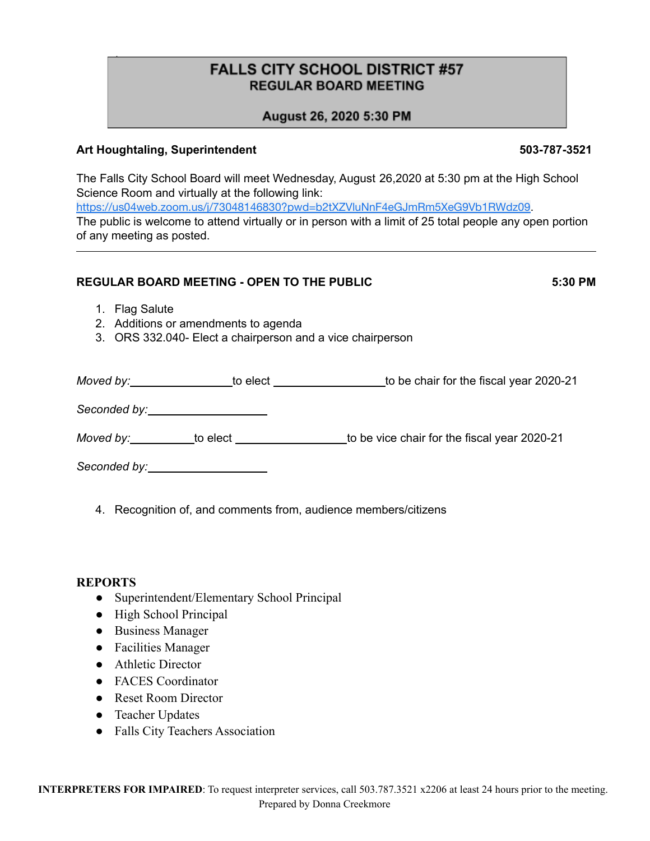# **FALLS CITY SCHOOL DISTRICT #57 REGULAR BOARD MEETING**

# August 26, 2020 5:30 PM

### **Art Houghtaling, Superintendent 503-787-3521**

\*

The Falls City School Board will meet Wednesday, August 26,2020 at 5:30 pm at the High School Science Room and virtually at the following link: [https://us04web.zoom.us/j/73048146830?pwd=b2tXZVluNnF4eGJmRm5XeG9Vb1RWdz09](https://www.google.com/url?q=https://us04web.zoom.us/j/73048146830?pwd%3Db2tXZVluNnF4eGJmRm5XeG9Vb1RWdz09&sa=D&source=calendar&ust=1598714787324000&usg=AOvVaw3l3KTCJ-fhRULxWL2QkuuS). The public is welcome to attend virtually or in person with a limit of 25 total people any open portion of any meeting as posted.

#### **REGULAR BOARD MEETING - OPEN TO THE PUBLIC 5:30 PM**

- 1. Flag Salute
- 2. Additions or amendments to agenda
- 3. ORS 332.040- Elect a chairperson and a vice chairperson

| to elect _______________             | to be chair for the fiscal year 2020-21      |
|--------------------------------------|----------------------------------------------|
|                                      |                                              |
|                                      | to be vice chair for the fiscal year 2020-21 |
| Seconded by: _______________________ |                                              |

4. Recognition of, and comments from, audience members/citizens

#### **REPORTS**

- Superintendent/Elementary School Principal
- High School Principal
- Business Manager
- Facilities Manager
- Athletic Director
- FACES Coordinator
- Reset Room Director
- Teacher Updates
- Falls City Teachers Association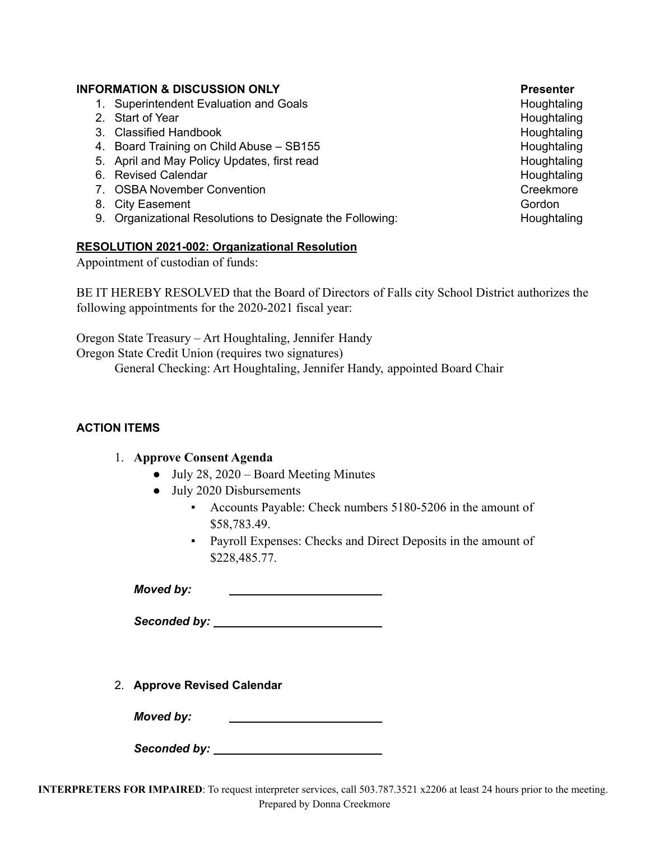#### **INFORMATION & DISCUSSION ONLY Presenter**

- 1. Superintendent Evaluation and Goals **Houghtaling** Houghtaling
- 2. Start of Year Houghtaling
- 3. Classified Handbook **Houghtaling** Houghtaling Houghtaling
- 4. Board Training on Child Abuse SB155 Houghtaling
- 5. April and May Policy Updates, first read Houghtaling Houghtaling
- 6. Revised Calendar **Houghtaling**
- 7. OSBA November Convention Creekmore Creekmore Creekmore
- 8. City Easement Communication of the Communication of the Communication of the Gordon Communication of the Gordon
- 9. Organizational Resolutions to Designate the Following: Houghtaling

#### **RESOLUTION 2021-002: Organizational Resolution**

Appointment of custodian of funds:

BE IT HEREBY RESOLVED that the Board of Directors of Falls city School District authorizes the following appointments for the 2020-2021 fiscal year:

Oregon State Treasury – Art Houghtaling, Jennifer Handy

Oregon State Credit Union (requires two signatures)

General Checking: Art Houghtaling, Jennifer Handy, appointed Board Chair

### **ACTION ITEMS**

### 1. **Approve Consent Agenda**

- July 28, 2020 Board Meeting Minutes
- July 2020 Disbursements
	- Accounts Payable: Check numbers 5180-5206 in the amount of \$58,783.49.
	- Payroll Expenses: Checks and Direct Deposits in the amount of \$228,485.77.

*Moved by:*

*Seconded by:*

2. **Approve Revised Calendar**

*Moved by:*

*Seconded by:*